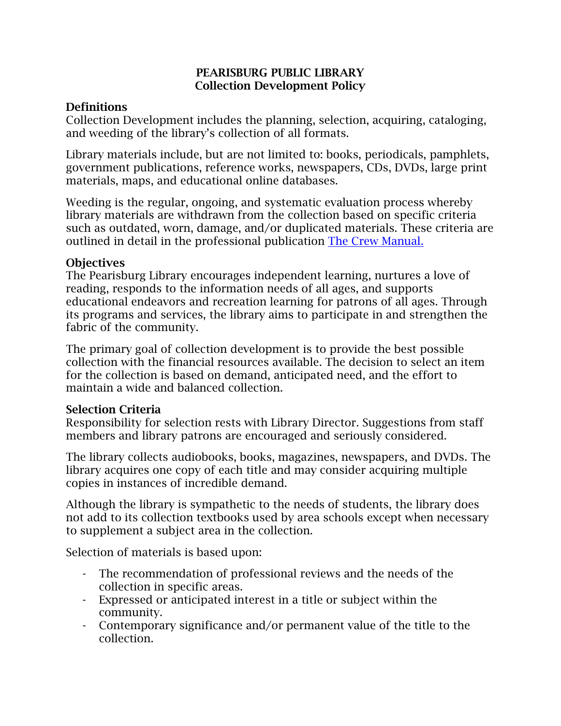#### **PEARISBURG PUBLIC LIBRARY Collection Development Policy**

### **Definitions**

Collection Development includes the planning, selection, acquiring, cataloging, and weeding of the library's collection of all formats.

Library materials include, but are not limited to: books, periodicals, pamphlets, government publications, reference works, newspapers, CDs, DVDs, large print materials, maps, and educational online databases.

Weeding is the regular, ongoing, and systematic evaluation process whereby library materials are withdrawn from the collection based on specific criteria such as outdated, worn, damage, and/or duplicated materials. These criteria are outlined in detail in the professional publication [The Crew Manual.](https://www.tsl.texas.gov/sites/default/files/public/tslac/ld/ld/pubs/crew/crewmethod12.pdf)

## **Objectives**

The Pearisburg Library encourages independent learning, nurtures a love of reading, responds to the information needs of all ages, and supports educational endeavors and recreation learning for patrons of all ages. Through its programs and services, the library aims to participate in and strengthen the fabric of the community.

The primary goal of collection development is to provide the best possible collection with the financial resources available. The decision to select an item for the collection is based on demand, anticipated need, and the effort to maintain a wide and balanced collection.

#### **Selection Criteria**

Responsibility for selection rests with Library Director. Suggestions from staff members and library patrons are encouraged and seriously considered.

The library collects audiobooks, books, magazines, newspapers, and DVDs. The library acquires one copy of each title and may consider acquiring multiple copies in instances of incredible demand.

Although the library is sympathetic to the needs of students, the library does not add to its collection textbooks used by area schools except when necessary to supplement a subject area in the collection.

Selection of materials is based upon:

- The recommendation of professional reviews and the needs of the collection in specific areas.
- Expressed or anticipated interest in a title or subject within the community.
- Contemporary significance and/or permanent value of the title to the collection.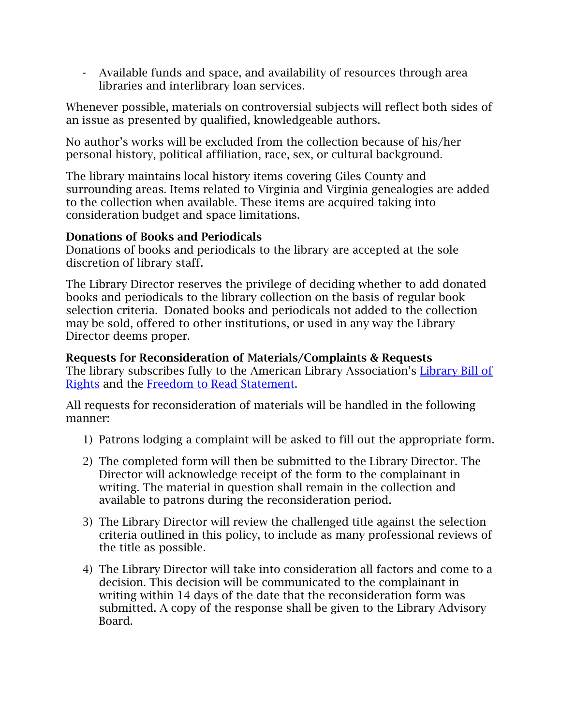- Available funds and space, and availability of resources through area libraries and interlibrary loan services.

Whenever possible, materials on controversial subjects will reflect both sides of an issue as presented by qualified, knowledgeable authors.

No author's works will be excluded from the collection because of his/her personal history, political affiliation, race, sex, or cultural background.

The library maintains local history items covering Giles County and surrounding areas. Items related to Virginia and Virginia genealogies are added to the collection when available. These items are acquired taking into consideration budget and space limitations.

# **Donations of Books and Periodicals**

Donations of books and periodicals to the library are accepted at the sole discretion of library staff.

The Library Director reserves the privilege of deciding whether to add donated books and periodicals to the library collection on the basis of regular book selection criteria. Donated books and periodicals not added to the collection may be sold, offered to other institutions, or used in any way the Library Director deems proper.

**Requests for Reconsideration of Materials/Complaints & Requests** The library subscribes fully to the American Library Association's [Library Bill of](http://www.ala.org/advocacy/intfreedom/librarybill)  [Rights](http://www.ala.org/advocacy/intfreedom/librarybill) and the [Freedom to Read](http://www.ala.org/advocacy/intfreedom/freedomreadstatement) Statement.

All requests for reconsideration of materials will be handled in the following manner:

- 1) Patrons lodging a complaint will be asked to fill out the appropriate form.
- 2) The completed form will then be submitted to the Library Director. The Director will acknowledge receipt of the form to the complainant in writing. The material in question shall remain in the collection and available to patrons during the reconsideration period.
- 3) The Library Director will review the challenged title against the selection criteria outlined in this policy, to include as many professional reviews of the title as possible.
- 4) The Library Director will take into consideration all factors and come to a decision. This decision will be communicated to the complainant in writing within 14 days of the date that the reconsideration form was submitted. A copy of the response shall be given to the Library Advisory Board.